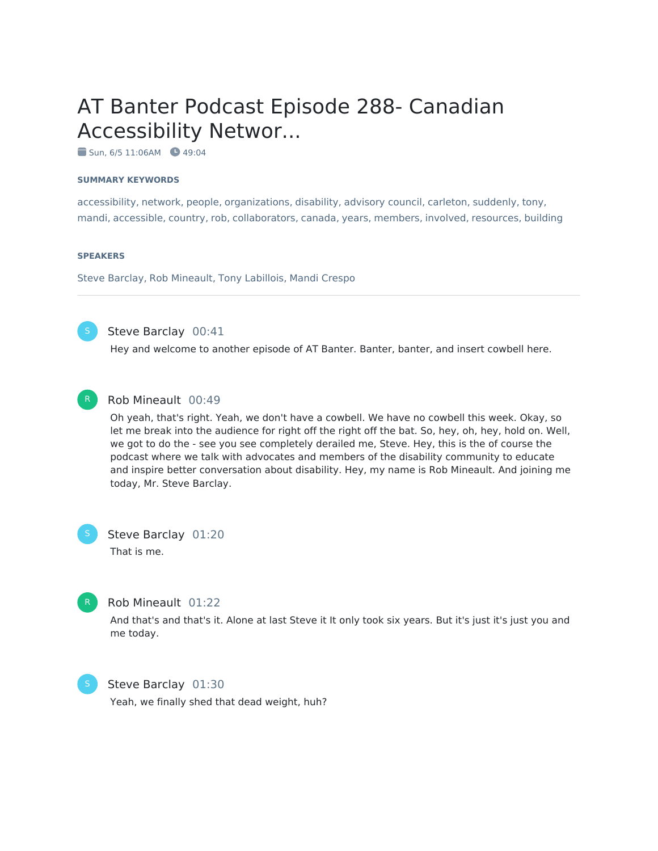# AT Banter Podcast Episode 288- Canadian Accessibility Networ...

 $\blacksquare$  Sun, 6/5 11:06AM  $\blacksquare$  49:04

#### **SUMMARY KEYWORDS**

accessibility, network, people, organizations, disability, advisory council, carleton, suddenly, tony, mandi, accessible, country, rob, collaborators, canada, years, members, involved, resources, building

#### **SPEAKERS**

Steve Barclay, Rob Mineault, Tony Labillois, Mandi Crespo



Steve Barclay 00:41

Hey and welcome to another episode of AT Banter. Banter, banter, and insert cowbell here.



### Rob Mineault 00:49

Oh yeah, that's right. Yeah, we don't have a cowbell. We have no cowbell this week. Okay, so let me break into the audience for right off the right off the bat. So, hey, oh, hey, hold on. Well, we got to do the - see you see completely derailed me, Steve. Hey, this is the of course the podcast where we talk with advocates and members of the disability community to educate and inspire better conversation about disability. Hey, my name is Rob Mineault. And joining me today, Mr. Steve Barclay.

Steve Barclay 01:20 That is me.



### Rob Mineault 01:22

And that's and that's it. Alone at last Steve it It only took six years. But it's just it's just you and me today.



### Steve Barclay 01:30

Yeah, we finally shed that dead weight, huh?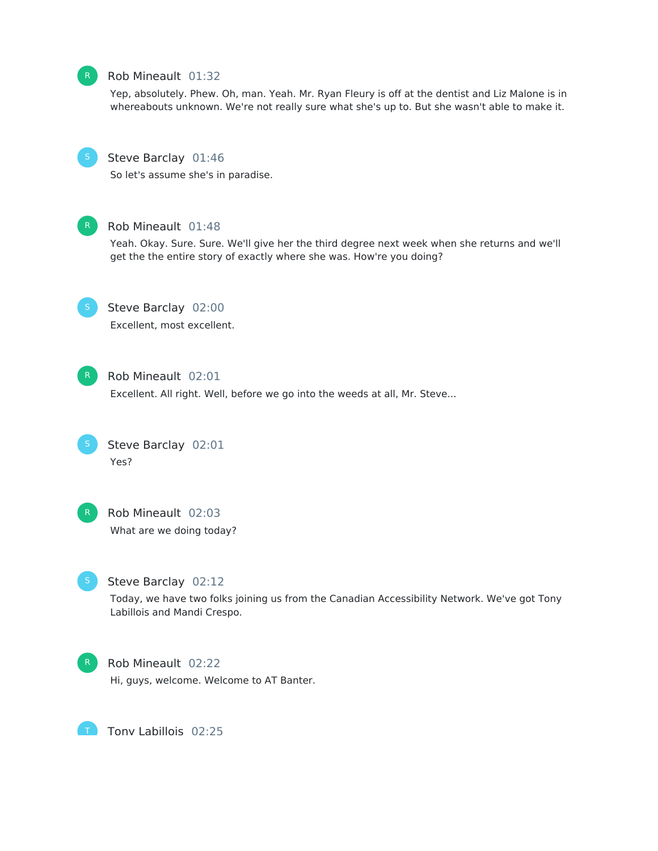

### Rob Mineault 01:32

Yep, absolutely. Phew. Oh, man. Yeah. Mr. Ryan Fleury is off at the dentist and Liz Malone is in whereabouts unknown. We're not really sure what she's up to. But she wasn't able to make it.



### Steve Barclay 01:46

So let's assume she's in paradise.



### Rob Mineault 01:48

Yeah. Okay. Sure. Sure. We'll give her the third degree next week when she returns and we'll get the the entire story of exactly where she was. How're you doing?



# Steve Barclay 02:00

Excellent, most excellent.



### Rob Mineault 02:01

Excellent. All right. Well, before we go into the weeds at all, Mr. Steve...



### Steve Barclay 02:01 Yes?



## Rob Mineault 02:03

What are we doing today?



### Steve Barclay 02:12

Today, we have two folks joining us from the Canadian Accessibility Network. We've got Tony Labillois and Mandi Crespo.



T

### Rob Mineault 02:22

Hi, guys, welcome. Welcome to AT Banter.

Tony Labillois 02:25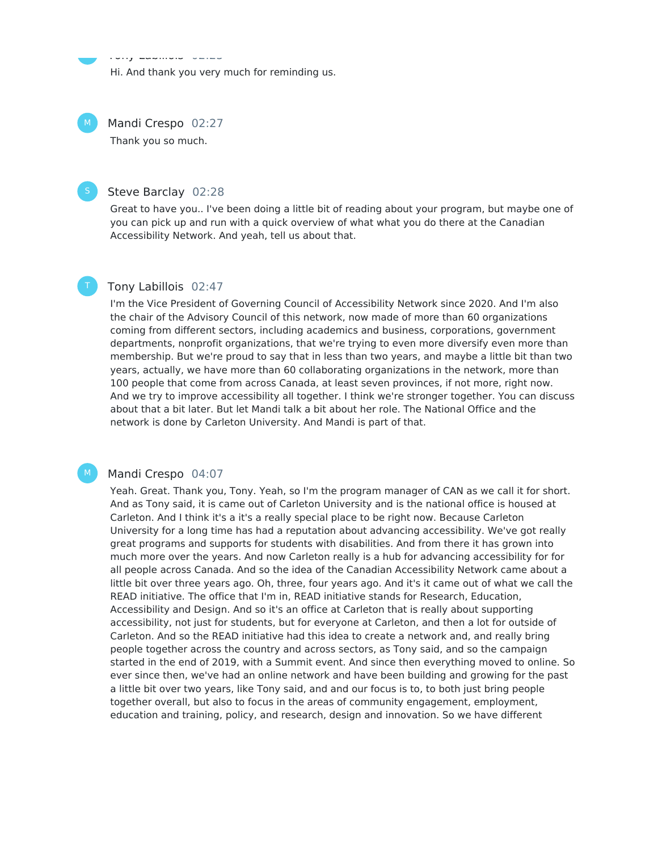Hi. And thank you very much for reminding us.

Mandi Crespo 02:27  $M_{\odot}$ 

Tony Labillois 02:25

Thank you so much.

### Steve Barclay 02:28

Great to have you.. I've been doing a little bit of reading about your program, but maybe one of you can pick up and run with a quick overview of what what you do there at the Canadian Accessibility Network. And yeah, tell us about that.



M

t.<br>T

### Tony Labillois 02:47

I'm the Vice President of Governing Council of Accessibility Network since 2020. And I'm also the chair of the Advisory Council of this network, now made of more than 60 organizations coming from different sectors, including academics and business, corporations, government departments, nonprofit organizations, that we're trying to even more diversify even more than membership. But we're proud to say that in less than two years, and maybe a little bit than two years, actually, we have more than 60 collaborating organizations in the network, more than 100 people that come from across Canada, at least seven provinces, if not more, right now. And we try to improve accessibility all together. I think we're stronger together. You can discuss about that a bit later. But let Mandi talk a bit about her role. The National Office and the network is done by Carleton University. And Mandi is part of that.

#### Mandi Crespo 04:07

Yeah. Great. Thank you, Tony. Yeah, so I'm the program manager of CAN as we call it for short. And as Tony said, it is came out of Carleton University and is the national office is housed at Carleton. And I think it's a it's a really special place to be right now. Because Carleton University for a long time has had a reputation about advancing accessibility. We've got really great programs and supports for students with disabilities. And from there it has grown into much more over the years. And now Carleton really is a hub for advancing accessibility for for all people across Canada. And so the idea of the Canadian Accessibility Network came about a little bit over three years ago. Oh, three, four years ago. And it's it came out of what we call the READ initiative. The office that I'm in, READ initiative stands for Research, Education, Accessibility and Design. And so it's an office at Carleton that is really about supporting accessibility, not just for students, but for everyone at Carleton, and then a lot for outside of Carleton. And so the READ initiative had this idea to create a network and, and really bring people together across the country and across sectors, as Tony said, and so the campaign started in the end of 2019, with a Summit event. And since then everything moved to online. So ever since then, we've had an online network and have been building and growing for the past a little bit over two years, like Tony said, and and our focus is to, to both just bring people together overall, but also to focus in the areas of community engagement, employment, education and training, policy, and research, design and innovation. So we have different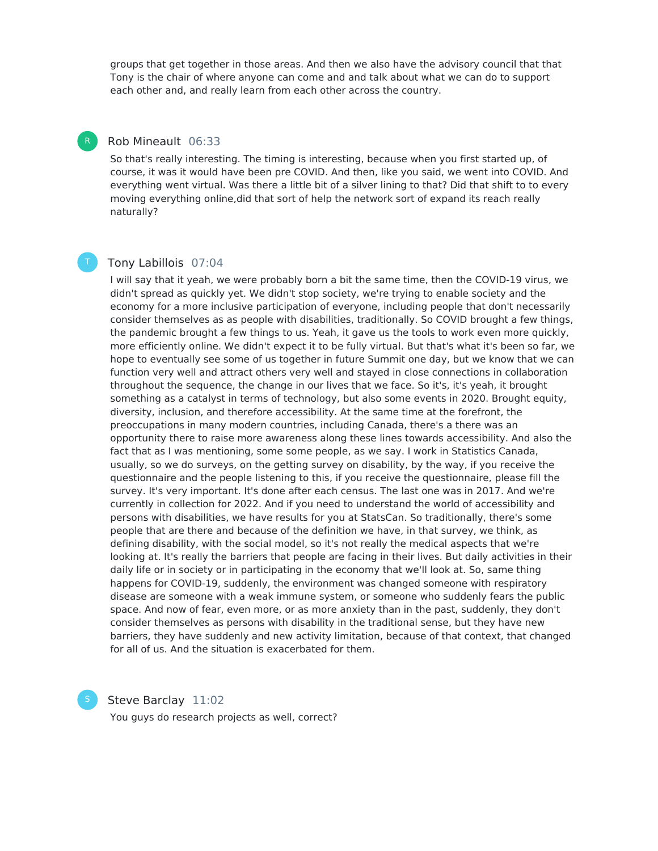groups that get together in those areas. And then we also have the advisory council that that Tony is the chair of where anyone can come and and talk about what we can do to support each other and, and really learn from each other across the country.

### Rob Mineault 06:33

R

So that's really interesting. The timing is interesting, because when you first started up, of course, it was it would have been pre COVID. And then, like you said, we went into COVID. And everything went virtual. Was there a little bit of a silver lining to that? Did that shift to to every moving everything online,did that sort of help the network sort of expand its reach really naturally?

### Tony Labillois 07:04

I will say that it yeah, we were probably born a bit the same time, then the COVID-19 virus, we didn't spread as quickly yet. We didn't stop society, we're trying to enable society and the economy for a more inclusive participation of everyone, including people that don't necessarily consider themselves as as people with disabilities, traditionally. So COVID brought a few things, the pandemic brought a few things to us. Yeah, it gave us the tools to work even more quickly, more efficiently online. We didn't expect it to be fully virtual. But that's what it's been so far, we hope to eventually see some of us together in future Summit one day, but we know that we can function very well and attract others very well and stayed in close connections in collaboration throughout the sequence, the change in our lives that we face. So it's, it's yeah, it brought something as a catalyst in terms of technology, but also some events in 2020. Brought equity, diversity, inclusion, and therefore accessibility. At the same time at the forefront, the preoccupations in many modern countries, including Canada, there's a there was an opportunity there to raise more awareness along these lines towards accessibility. And also the fact that as I was mentioning, some some people, as we say. I work in Statistics Canada, usually, so we do surveys, on the getting survey on disability, by the way, if you receive the questionnaire and the people listening to this, if you receive the questionnaire, please fill the survey. It's very important. It's done after each census. The last one was in 2017. And we're currently in collection for 2022. And if you need to understand the world of accessibility and persons with disabilities, we have results for you at StatsCan. So traditionally, there's some people that are there and because of the definition we have, in that survey, we think, as defining disability, with the social model, so it's not really the medical aspects that we're looking at. It's really the barriers that people are facing in their lives. But daily activities in their daily life or in society or in participating in the economy that we'll look at. So, same thing happens for COVID-19, suddenly, the environment was changed someone with respiratory disease are someone with a weak immune system, or someone who suddenly fears the public space. And now of fear, even more, or as more anxiety than in the past, suddenly, they don't consider themselves as persons with disability in the traditional sense, but they have new barriers, they have suddenly and new activity limitation, because of that context, that changed for all of us. And the situation is exacerbated for them.

Steve Barclay 11:02

You guys do research projects as well, correct?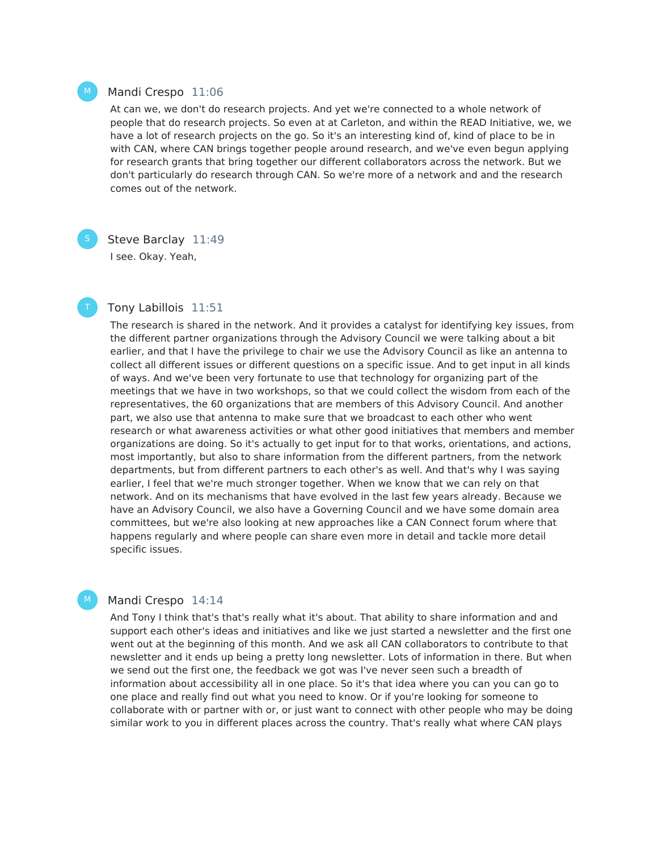### Mandi Crespo 11:06

At can we, we don't do research projects. And yet we're connected to a whole network of people that do research projects. So even at at Carleton, and within the READ Initiative, we, we have a lot of research projects on the go. So it's an interesting kind of, kind of place to be in with CAN, where CAN brings together people around research, and we've even begun applying for research grants that bring together our different collaborators across the network. But we don't particularly do research through CAN. So we're more of a network and and the research comes out of the network.

M

 $M_{\odot}$ 

### Steve Barclay 11:49

I see. Okay. Yeah,

### Tony Labillois 11:51

The research is shared in the network. And it provides a catalyst for identifying key issues, from the different partner organizations through the Advisory Council we were talking about a bit earlier, and that I have the privilege to chair we use the Advisory Council as like an antenna to collect all different issues or different questions on a specific issue. And to get input in all kinds of ways. And we've been very fortunate to use that technology for organizing part of the meetings that we have in two workshops, so that we could collect the wisdom from each of the representatives, the 60 organizations that are members of this Advisory Council. And another part, we also use that antenna to make sure that we broadcast to each other who went research or what awareness activities or what other good initiatives that members and member organizations are doing. So it's actually to get input for to that works, orientations, and actions, most importantly, but also to share information from the different partners, from the network departments, but from different partners to each other's as well. And that's why I was saying earlier, I feel that we're much stronger together. When we know that we can rely on that network. And on its mechanisms that have evolved in the last few years already. Because we have an Advisory Council, we also have a Governing Council and we have some domain area committees, but we're also looking at new approaches like a CAN Connect forum where that happens regularly and where people can share even more in detail and tackle more detail specific issues.

### Mandi Crespo 14:14

And Tony I think that's that's really what it's about. That ability to share information and and support each other's ideas and initiatives and like we just started a newsletter and the first one went out at the beginning of this month. And we ask all CAN collaborators to contribute to that newsletter and it ends up being a pretty long newsletter. Lots of information in there. But when we send out the first one, the feedback we got was I've never seen such a breadth of information about accessibility all in one place. So it's that idea where you can you can go to one place and really find out what you need to know. Or if you're looking for someone to collaborate with or partner with or, or just want to connect with other people who may be doing similar work to you in different places across the country. That's really what where CAN plays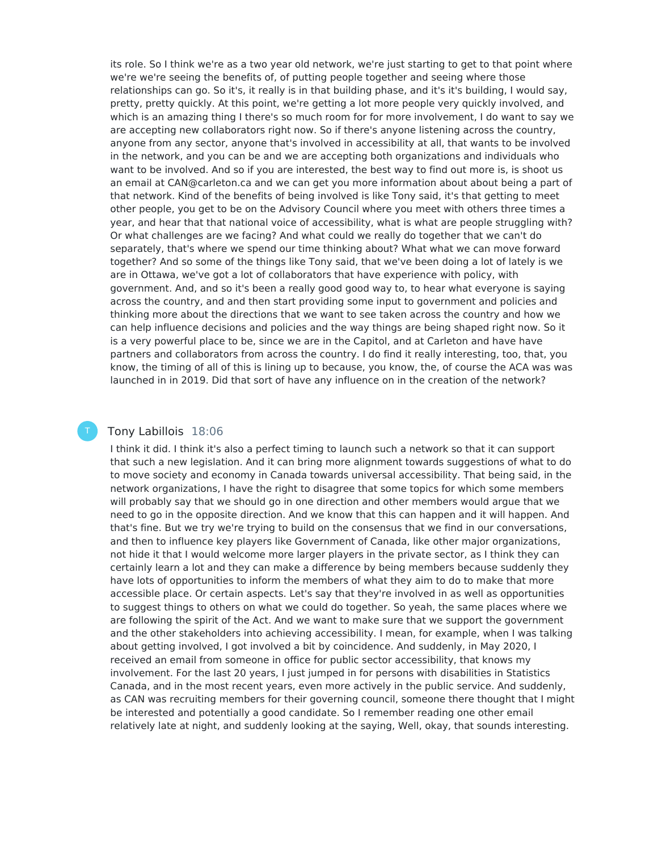its role. So I think we're as a two year old network, we're just starting to get to that point where we're we're seeing the benefits of, of putting people together and seeing where those relationships can go. So it's, it really is in that building phase, and it's it's building, I would say, pretty, pretty quickly. At this point, we're getting a lot more people very quickly involved, and which is an amazing thing I there's so much room for for more involvement, I do want to say we are accepting new collaborators right now. So if there's anyone listening across the country, anyone from any sector, anyone that's involved in accessibility at all, that wants to be involved in the network, and you can be and we are accepting both organizations and individuals who want to be involved. And so if you are interested, the best way to find out more is, is shoot us an email at CAN@carleton.ca and we can get you more information about about being a part of that network. Kind of the benefits of being involved is like Tony said, it's that getting to meet other people, you get to be on the Advisory Council where you meet with others three times a year, and hear that that national voice of accessibility, what is what are people struggling with? Or what challenges are we facing? And what could we really do together that we can't do separately, that's where we spend our time thinking about? What what we can move forward together? And so some of the things like Tony said, that we've been doing a lot of lately is we are in Ottawa, we've got a lot of collaborators that have experience with policy, with government. And, and so it's been a really good good way to, to hear what everyone is saying across the country, and and then start providing some input to government and policies and thinking more about the directions that we want to see taken across the country and how we can help influence decisions and policies and the way things are being shaped right now. So it is a very powerful place to be, since we are in the Capitol, and at Carleton and have have partners and collaborators from across the country. I do find it really interesting, too, that, you know, the timing of all of this is lining up to because, you know, the, of course the ACA was was launched in in 2019. Did that sort of have any influence on in the creation of the network?

### Tony Labillois 18:06

T

I think it did. I think it's also a perfect timing to launch such a network so that it can support that such a new legislation. And it can bring more alignment towards suggestions of what to do to move society and economy in Canada towards universal accessibility. That being said, in the network organizations, I have the right to disagree that some topics for which some members will probably say that we should go in one direction and other members would argue that we need to go in the opposite direction. And we know that this can happen and it will happen. And that's fine. But we try we're trying to build on the consensus that we find in our conversations, and then to influence key players like Government of Canada, like other major organizations, not hide it that I would welcome more larger players in the private sector, as I think they can certainly learn a lot and they can make a difference by being members because suddenly they have lots of opportunities to inform the members of what they aim to do to make that more accessible place. Or certain aspects. Let's say that they're involved in as well as opportunities to suggest things to others on what we could do together. So yeah, the same places where we are following the spirit of the Act. And we want to make sure that we support the government and the other stakeholders into achieving accessibility. I mean, for example, when I was talking about getting involved, I got involved a bit by coincidence. And suddenly, in May 2020, I received an email from someone in office for public sector accessibility, that knows my involvement. For the last 20 years, I just jumped in for persons with disabilities in Statistics Canada, and in the most recent years, even more actively in the public service. And suddenly, as CAN was recruiting members for their governing council, someone there thought that I might be interested and potentially a good candidate. So I remember reading one other email relatively late at night, and suddenly looking at the saying, Well, okay, that sounds interesting.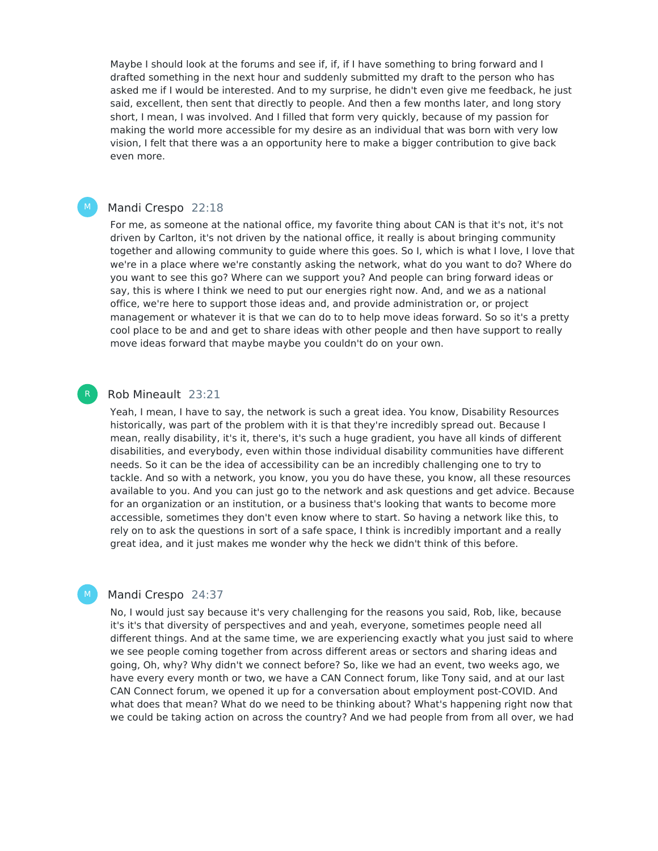Maybe I should look at the forums and see if, if, if I have something to bring forward and I drafted something in the next hour and suddenly submitted my draft to the person who has asked me if I would be interested. And to my surprise, he didn't even give me feedback, he just said, excellent, then sent that directly to people. And then a few months later, and long story short, I mean, I was involved. And I filled that form very quickly, because of my passion for making the world more accessible for my desire as an individual that was born with very low vision, I felt that there was a an opportunity here to make a bigger contribution to give back even more.

### Mandi Crespo 22:18

 $M_{\odot}$ 

For me, as someone at the national office, my favorite thing about CAN is that it's not, it's not driven by Carlton, it's not driven by the national office, it really is about bringing community together and allowing community to guide where this goes. So I, which is what I love, I love that we're in a place where we're constantly asking the network, what do you want to do? Where do you want to see this go? Where can we support you? And people can bring forward ideas or say, this is where I think we need to put our energies right now. And, and we as a national office, we're here to support those ideas and, and provide administration or, or project management or whatever it is that we can do to to help move ideas forward. So so it's a pretty cool place to be and and get to share ideas with other people and then have support to really move ideas forward that maybe maybe you couldn't do on your own.

### Rob Mineault 23:21

Yeah, I mean, I have to say, the network is such a great idea. You know, Disability Resources historically, was part of the problem with it is that they're incredibly spread out. Because I mean, really disability, it's it, there's, it's such a huge gradient, you have all kinds of different disabilities, and everybody, even within those individual disability communities have different needs. So it can be the idea of accessibility can be an incredibly challenging one to try to tackle. And so with a network, you know, you you do have these, you know, all these resources available to you. And you can just go to the network and ask questions and get advice. Because for an organization or an institution, or a business that's looking that wants to become more accessible, sometimes they don't even know where to start. So having a network like this, to rely on to ask the questions in sort of a safe space, I think is incredibly important and a really great idea, and it just makes me wonder why the heck we didn't think of this before.

### Mandi Crespo 24:37

M

No, I would just say because it's very challenging for the reasons you said, Rob, like, because it's it's that diversity of perspectives and and yeah, everyone, sometimes people need all different things. And at the same time, we are experiencing exactly what you just said to where we see people coming together from across different areas or sectors and sharing ideas and going, Oh, why? Why didn't we connect before? So, like we had an event, two weeks ago, we have every every month or two, we have a CAN Connect forum, like Tony said, and at our last CAN Connect forum, we opened it up for a conversation about employment post-COVID. And what does that mean? What do we need to be thinking about? What's happening right now that we could be taking action on across the country? And we had people from from all over, we had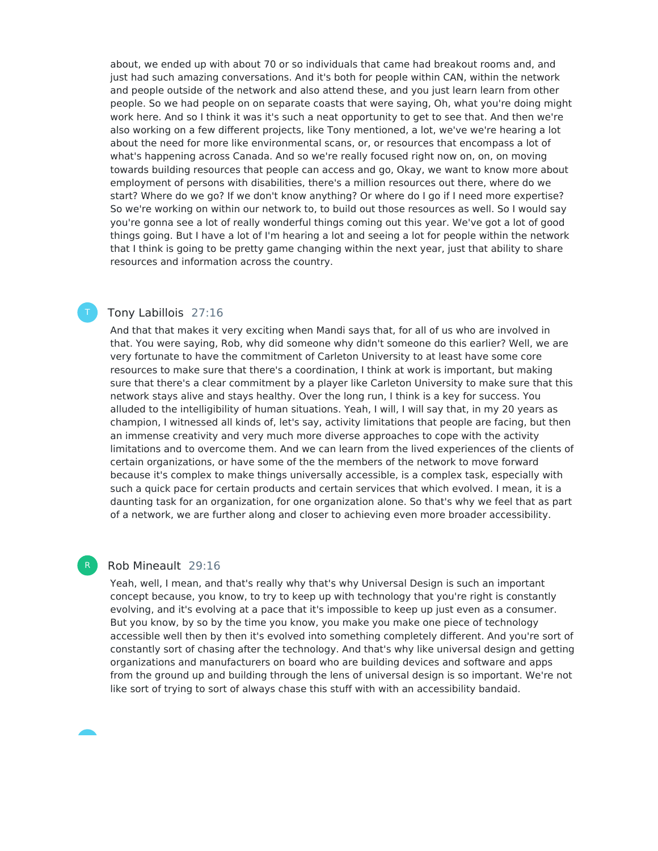about, we ended up with about 70 or so individuals that came had breakout rooms and, and just had such amazing conversations. And it's both for people within CAN, within the network and people outside of the network and also attend these, and you just learn learn from other people. So we had people on on separate coasts that were saying, Oh, what you're doing might work here. And so I think it was it's such a neat opportunity to get to see that. And then we're also working on a few different projects, like Tony mentioned, a lot, we've we're hearing a lot about the need for more like environmental scans, or, or resources that encompass a lot of what's happening across Canada. And so we're really focused right now on, on, on moving towards building resources that people can access and go, Okay, we want to know more about employment of persons with disabilities, there's a million resources out there, where do we start? Where do we go? If we don't know anything? Or where do I go if I need more expertise? So we're working on within our network to, to build out those resources as well. So I would say you're gonna see a lot of really wonderful things coming out this year. We've got a lot of good things going. But I have a lot of I'm hearing a lot and seeing a lot for people within the network that I think is going to be pretty game changing within the next year, just that ability to share resources and information across the country.

### Tony Labillois 27:16

And that that makes it very exciting when Mandi says that, for all of us who are involved in that. You were saying, Rob, why did someone why didn't someone do this earlier? Well, we are very fortunate to have the commitment of Carleton University to at least have some core resources to make sure that there's a coordination, I think at work is important, but making sure that there's a clear commitment by a player like Carleton University to make sure that this network stays alive and stays healthy. Over the long run, I think is a key for success. You alluded to the intelligibility of human situations. Yeah, I will, I will say that, in my 20 years as champion, I witnessed all kinds of, let's say, activity limitations that people are facing, but then an immense creativity and very much more diverse approaches to cope with the activity limitations and to overcome them. And we can learn from the lived experiences of the clients of certain organizations, or have some of the the members of the network to move forward because it's complex to make things universally accessible, is a complex task, especially with such a quick pace for certain products and certain services that which evolved. I mean, it is a daunting task for an organization, for one organization alone. So that's why we feel that as part of a network, we are further along and closer to achieving even more broader accessibility.

#### Rob Mineault 29:16

R

Yeah, well, I mean, and that's really why that's why Universal Design is such an important concept because, you know, to try to keep up with technology that you're right is constantly evolving, and it's evolving at a pace that it's impossible to keep up just even as a consumer. But you know, by so by the time you know, you make you make one piece of technology accessible well then by then it's evolved into something completely different. And you're sort of constantly sort of chasing after the technology. And that's why like universal design and getting organizations and manufacturers on board who are building devices and software and apps from the ground up and building through the lens of universal design is so important. We're not like sort of trying to sort of always chase this stuff with with an accessibility bandaid.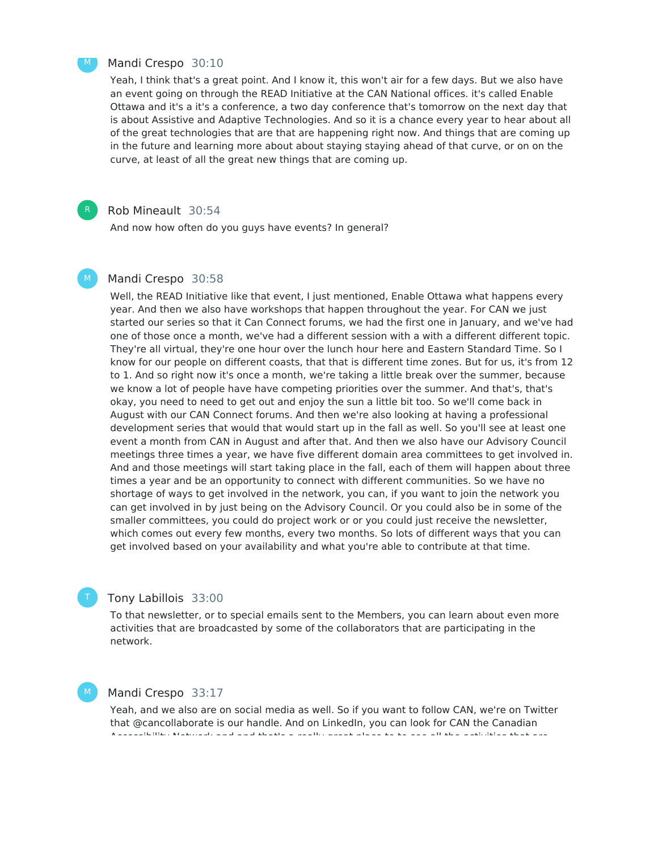

R

#### Mandi Crespo 30:10

Yeah, I think that's a great point. And I know it, this won't air for a few days. But we also have an event going on through the READ Initiative at the CAN National offices. it's called Enable Ottawa and it's a it's a conference, a two day conference that's tomorrow on the next day that is about Assistive and Adaptive Technologies. And so it is a chance every year to hear about all of the great technologies that are that are happening right now. And things that are coming up in the future and learning more about about staying staying ahead of that curve, or on on the curve, at least of all the great new things that are coming up.

#### Rob Mineault 30:54

And now how often do you guys have events? In general?

#### Mandi Crespo 30:58 M

Well, the READ Initiative like that event, I just mentioned, Enable Ottawa what happens every year. And then we also have workshops that happen throughout the year. For CAN we just started our series so that it Can Connect forums, we had the first one in January, and we've had one of those once a month, we've had a different session with a with a different different topic. They're all virtual, they're one hour over the lunch hour here and Eastern Standard Time. So I know for our people on different coasts, that that is different time zones. But for us, it's from 12 to 1. And so right now it's once a month, we're taking a little break over the summer, because we know a lot of people have have competing priorities over the summer. And that's, that's okay, you need to need to get out and enjoy the sun a little bit too. So we'll come back in August with our CAN Connect forums. And then we're also looking at having a professional development series that would that would start up in the fall as well. So you'll see at least one event a month from CAN in August and after that. And then we also have our Advisory Council meetings three times a year, we have five different domain area committees to get involved in. And and those meetings will start taking place in the fall, each of them will happen about three times a year and be an opportunity to connect with different communities. So we have no shortage of ways to get involved in the network, you can, if you want to join the network you can get involved in by just being on the Advisory Council. Or you could also be in some of the smaller committees, you could do project work or or you could just receive the newsletter, which comes out every few months, every two months. So lots of different ways that you can get involved based on your availability and what you're able to contribute at that time.

### Tony Labillois 33:00

To that newsletter, or to special emails sent to the Members, you can learn about even more activities that are broadcasted by some of the collaborators that are participating in the network.

### Mandi Crespo 33:17

M

Yeah, and we also are on social media as well. So if you want to follow CAN, we're on Twitter that @cancollaborate is our handle. And on LinkedIn, you can look for CAN the Canadian Accessibility Network and and that's a really great place to to see all the activities that are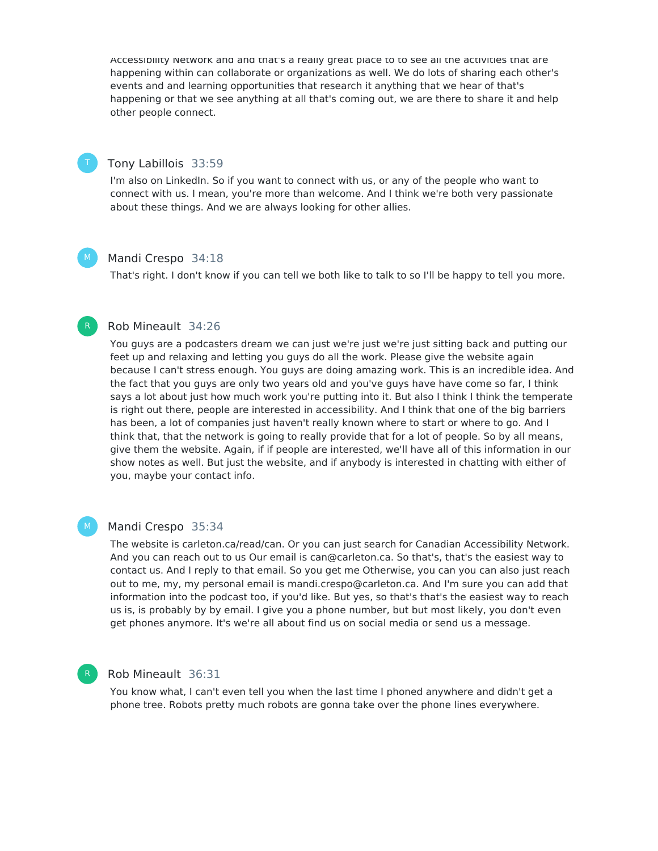Accessibility Network and and that's a really great place to to see all the activities that are happening within can collaborate or organizations as well. We do lots of sharing each other's events and and learning opportunities that research it anything that we hear of that's happening or that we see anything at all that's coming out, we are there to share it and help other people connect.

### Tony Labillois 33:59

I'm also on LinkedIn. So if you want to connect with us, or any of the people who want to connect with us. I mean, you're more than welcome. And I think we're both very passionate about these things. And we are always looking for other allies.

### Mandi Crespo 34:18

That's right. I don't know if you can tell we both like to talk to so I'll be happy to tell you more.

### Rob Mineault 34:26

You guys are a podcasters dream we can just we're just we're just sitting back and putting our feet up and relaxing and letting you guys do all the work. Please give the website again because I can't stress enough. You guys are doing amazing work. This is an incredible idea. And the fact that you guys are only two years old and you've guys have have come so far, I think says a lot about just how much work you're putting into it. But also I think I think the temperate is right out there, people are interested in accessibility. And I think that one of the big barriers has been, a lot of companies just haven't really known where to start or where to go. And I think that, that the network is going to really provide that for a lot of people. So by all means, give them the website. Again, if if people are interested, we'll have all of this information in our show notes as well. But just the website, and if anybody is interested in chatting with either of you, maybe your contact info.

#### M

 $M_{\odot}$ 

### Mandi Crespo 35:34

The website is carleton.ca/read/can. Or you can just search for Canadian Accessibility Network. And you can reach out to us Our email is can@carleton.ca. So that's, that's the easiest way to contact us. And I reply to that email. So you get me Otherwise, you can you can also just reach out to me, my, my personal email is mandi.crespo@carleton.ca. And I'm sure you can add that information into the podcast too, if you'd like. But yes, so that's that's the easiest way to reach us is, is probably by by email. I give you a phone number, but but most likely, you don't even get phones anymore. It's we're all about find us on social media or send us a message.

### Rob Mineault 36:31

You know what, I can't even tell you when the last time I phoned anywhere and didn't get a phone tree. Robots pretty much robots are gonna take over the phone lines everywhere.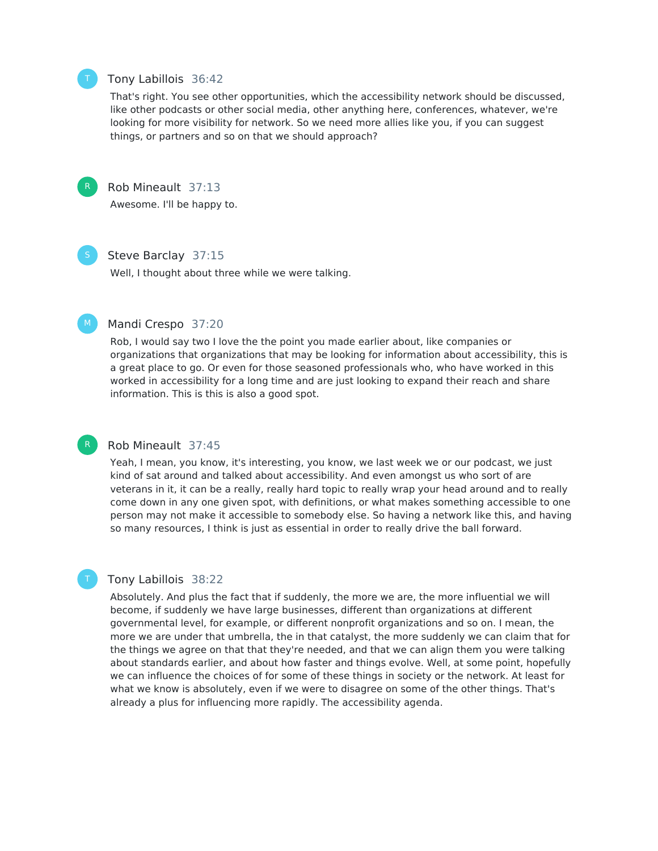

### Tony Labillois 36:42

That's right. You see other opportunities, which the accessibility network should be discussed, like other podcasts or other social media, other anything here, conferences, whatever, we're looking for more visibility for network. So we need more allies like you, if you can suggest things, or partners and so on that we should approach?



### Rob Mineault 37:13

Awesome. I'll be happy to.



### Steve Barclay 37:15

Well, I thought about three while we were talking.



R

T

#### Mandi Crespo 37:20

Rob, I would say two I love the the point you made earlier about, like companies or organizations that organizations that may be looking for information about accessibility, this is a great place to go. Or even for those seasoned professionals who, who have worked in this worked in accessibility for a long time and are just looking to expand their reach and share information. This is this is also a good spot.

### Rob Mineault 37:45

Yeah, I mean, you know, it's interesting, you know, we last week we or our podcast, we just kind of sat around and talked about accessibility. And even amongst us who sort of are veterans in it, it can be a really, really hard topic to really wrap your head around and to really come down in any one given spot, with definitions, or what makes something accessible to one person may not make it accessible to somebody else. So having a network like this, and having so many resources, I think is just as essential in order to really drive the ball forward.

### Tony Labillois 38:22

Absolutely. And plus the fact that if suddenly, the more we are, the more influential we will become, if suddenly we have large businesses, different than organizations at different governmental level, for example, or different nonprofit organizations and so on. I mean, the more we are under that umbrella, the in that catalyst, the more suddenly we can claim that for the things we agree on that that they're needed, and that we can align them you were talking about standards earlier, and about how faster and things evolve. Well, at some point, hopefully we can influence the choices of for some of these things in society or the network. At least for what we know is absolutely, even if we were to disagree on some of the other things. That's already a plus for influencing more rapidly. The accessibility agenda.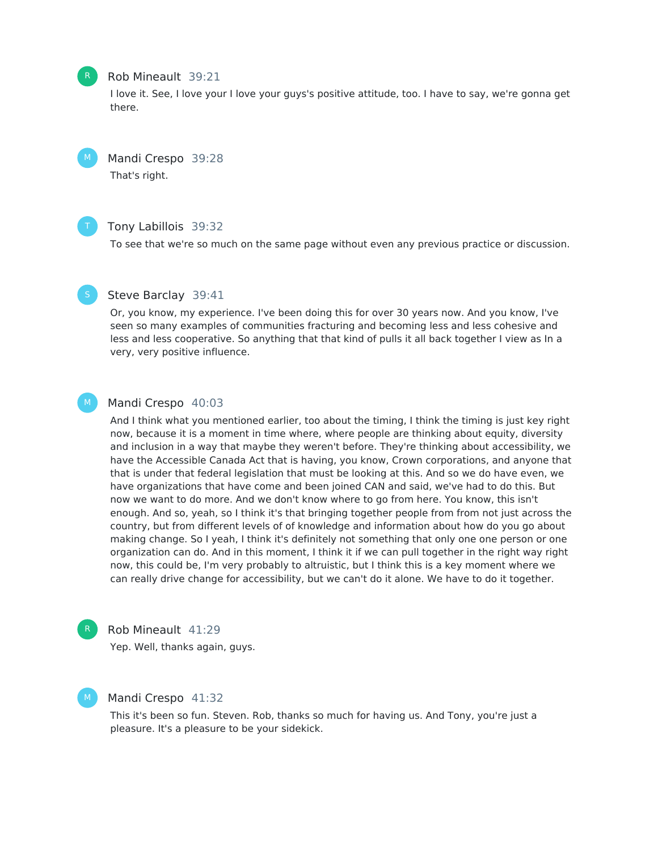### Rob Mineault 39:21

I love it. See, I love your I love your guys's positive attitude, too. I have to say, we're gonna get there.

Mandi Crespo 39:28 That's right.



### Tony Labillois 39:32

To see that we're so much on the same page without even any previous practice or discussion.

### Steve Barclay 39:41

Or, you know, my experience. I've been doing this for over 30 years now. And you know, I've seen so many examples of communities fracturing and becoming less and less cohesive and less and less cooperative. So anything that that kind of pulls it all back together I view as In a very, very positive influence.

#### Mandi Crespo 40:03 M

And I think what you mentioned earlier, too about the timing, I think the timing is just key right now, because it is a moment in time where, where people are thinking about equity, diversity and inclusion in a way that maybe they weren't before. They're thinking about accessibility, we have the Accessible Canada Act that is having, you know, Crown corporations, and anyone that that is under that federal legislation that must be looking at this. And so we do have even, we have organizations that have come and been joined CAN and said, we've had to do this. But now we want to do more. And we don't know where to go from here. You know, this isn't enough. And so, yeah, so I think it's that bringing together people from from not just across the country, but from different levels of of knowledge and information about how do you go about making change. So I yeah, I think it's definitely not something that only one one person or one organization can do. And in this moment, I think it if we can pull together in the right way right now, this could be, I'm very probably to altruistic, but I think this is a key moment where we can really drive change for accessibility, but we can't do it alone. We have to do it together.



M

#### Rob Mineault 41:29

Yep. Well, thanks again, guys.

### Mandi Crespo 41:32

This it's been so fun. Steven. Rob, thanks so much for having us. And Tony, you're just a pleasure. It's a pleasure to be your sidekick.



 $M_{\odot}$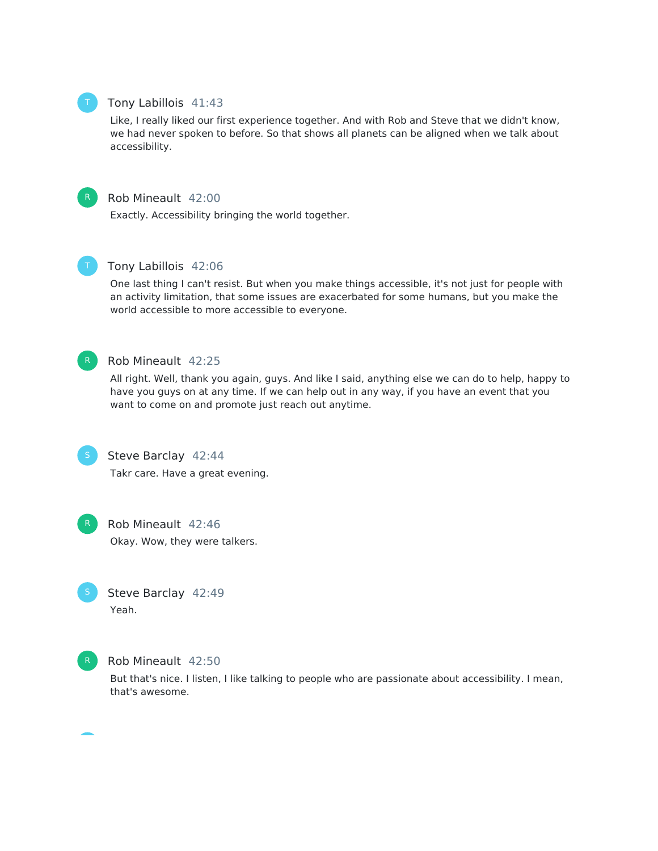### Tony Labillois 41:43

Like, I really liked our first experience together. And with Rob and Steve that we didn't know, we had never spoken to before. So that shows all planets can be aligned when we talk about accessibility.



### Rob Mineault 42:00

Exactly. Accessibility bringing the world together.



### Tony Labillois 42:06

One last thing I can't resist. But when you make things accessible, it's not just for people with an activity limitation, that some issues are exacerbated for some humans, but you make the world accessible to more accessible to everyone.



### Rob Mineault 42:25

All right. Well, thank you again, guys. And like I said, anything else we can do to help, happy to have you guys on at any time. If we can help out in any way, if you have an event that you want to come on and promote just reach out anytime.



### Steve Barclay 42:44

Takr care. Have a great evening.



### Rob Mineault 42:46

Okay. Wow, they were talkers.



### Steve Barclay 42:49 Yeah.



### Rob Mineault 42:50

But that's nice. I listen, I like talking to people who are passionate about accessibility. I mean, that's awesome.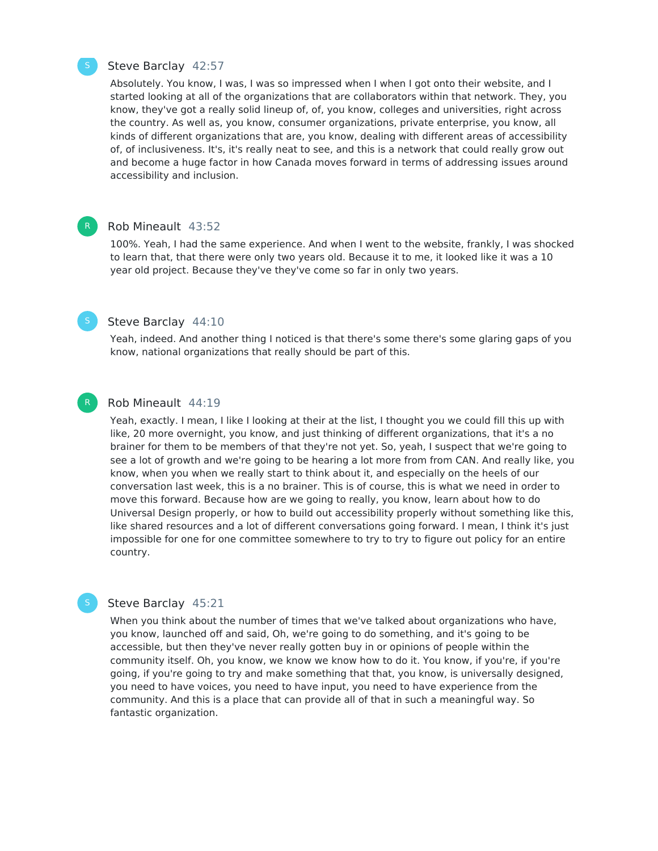

R

### Steve Barclay 42:57

Absolutely. You know, I was, I was so impressed when I when I got onto their website, and I started looking at all of the organizations that are collaborators within that network. They, you know, they've got a really solid lineup of, of, you know, colleges and universities, right across the country. As well as, you know, consumer organizations, private enterprise, you know, all kinds of different organizations that are, you know, dealing with different areas of accessibility of, of inclusiveness. It's, it's really neat to see, and this is a network that could really grow out and become a huge factor in how Canada moves forward in terms of addressing issues around accessibility and inclusion.

#### Rob Mineault 43:52

100%. Yeah, I had the same experience. And when I went to the website, frankly, I was shocked to learn that, that there were only two years old. Because it to me, it looked like it was a 10 year old project. Because they've they've come so far in only two years.

### Steve Barclay 44:10

Yeah, indeed. And another thing I noticed is that there's some there's some glaring gaps of you know, national organizations that really should be part of this.

#### Rob Mineault 44:19

Yeah, exactly. I mean, I like I looking at their at the list, I thought you we could fill this up with like, 20 more overnight, you know, and just thinking of different organizations, that it's a no brainer for them to be members of that they're not yet. So, yeah, I suspect that we're going to see a lot of growth and we're going to be hearing a lot more from from CAN. And really like, you know, when you when we really start to think about it, and especially on the heels of our conversation last week, this is a no brainer. This is of course, this is what we need in order to move this forward. Because how are we going to really, you know, learn about how to do Universal Design properly, or how to build out accessibility properly without something like this, like shared resources and a lot of different conversations going forward. I mean, I think it's just impossible for one for one committee somewhere to try to try to figure out policy for an entire country.

### Steve Barclay 45:21

When you think about the number of times that we've talked about organizations who have, you know, launched off and said, Oh, we're going to do something, and it's going to be accessible, but then they've never really gotten buy in or opinions of people within the community itself. Oh, you know, we know we know how to do it. You know, if you're, if you're going, if you're going to try and make something that that, you know, is universally designed, you need to have voices, you need to have input, you need to have experience from the community. And this is a place that can provide all of that in such a meaningful way. So fantastic organization.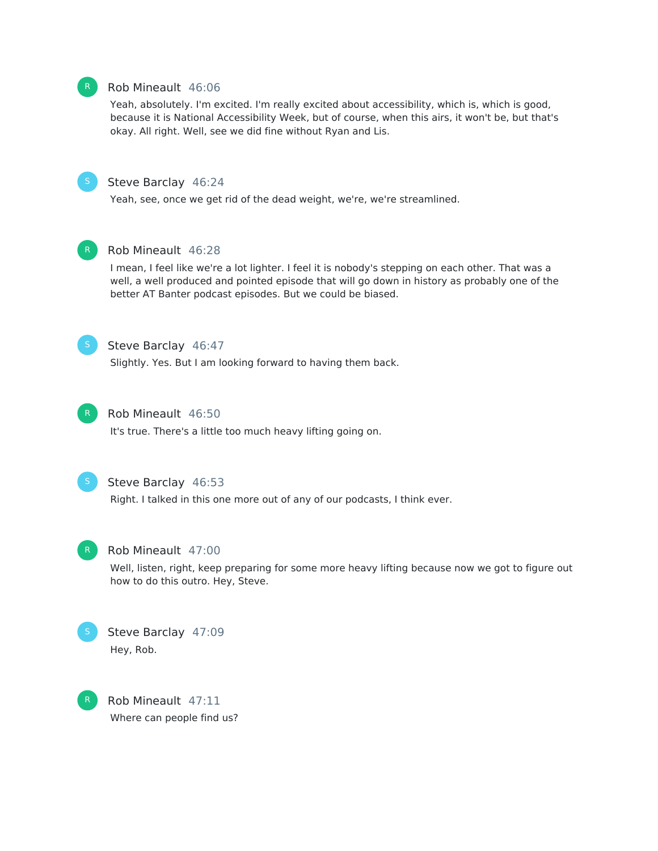### Rob Mineault 46:06

Yeah, absolutely. I'm excited. I'm really excited about accessibility, which is, which is good, because it is National Accessibility Week, but of course, when this airs, it won't be, but that's okay. All right. Well, see we did fine without Ryan and Lis.



### Steve Barclay 46:24

Yeah, see, once we get rid of the dead weight, we're, we're streamlined.



### Rob Mineault 46:28

I mean, I feel like we're a lot lighter. I feel it is nobody's stepping on each other. That was a well, a well produced and pointed episode that will go down in history as probably one of the better AT Banter podcast episodes. But we could be biased.



### Steve Barclay 46:47

Slightly. Yes. But I am looking forward to having them back.



### Rob Mineault 46:50

It's true. There's a little too much heavy lifting going on.



### Steve Barclay 46:53

Right. I talked in this one more out of any of our podcasts, I think ever.



### Rob Mineault 47:00

Well, listen, right, keep preparing for some more heavy lifting because now we got to figure out how to do this outro. Hey, Steve.



### Steve Barclay 47:09 Hey, Rob.



Rob Mineault 47:11 Where can people find us?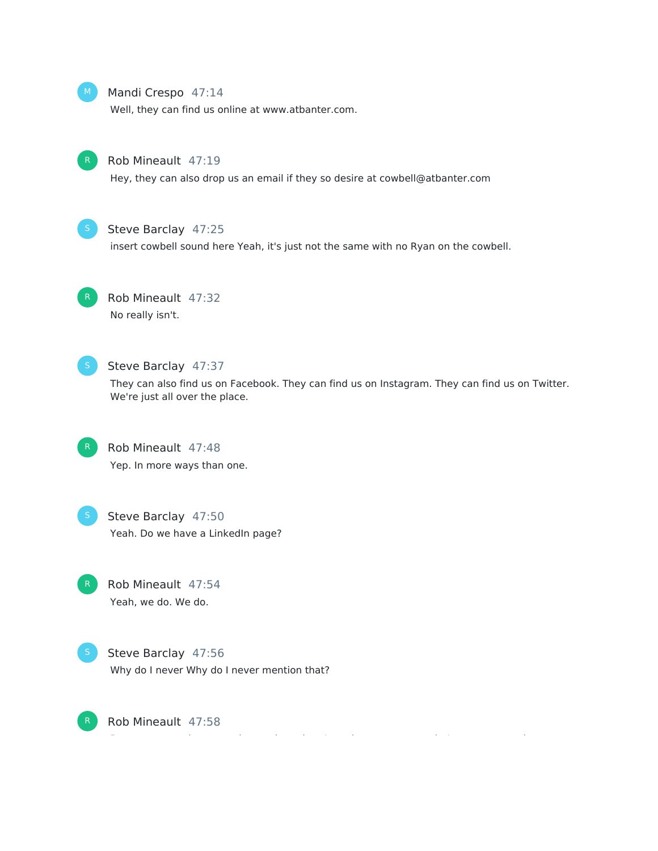

### Mandi Crespo 47:14

Well, they can find us online at www.atbanter.com.



### Rob Mineault 47:19

Hey, they can also drop us an email if they so desire at cowbell@atbanter.com



### Steve Barclay 47:25

insert cowbell sound here Yeah, it's just not the same with no Ryan on the cowbell.



### Rob Mineault 47:32 No really isn't.



### Steve Barclay 47:37

They can also find us on Facebook. They can find us on Instagram. They can find us on Twitter. We're just all over the place.



### Rob Mineault 47:48

Yep. In more ways than one.



### Steve Barclay 47:50 Yeah. Do we have a LinkedIn page?

Rob Mineault 47:54 Yeah, we do. We do.



Rob Mineault 47:58